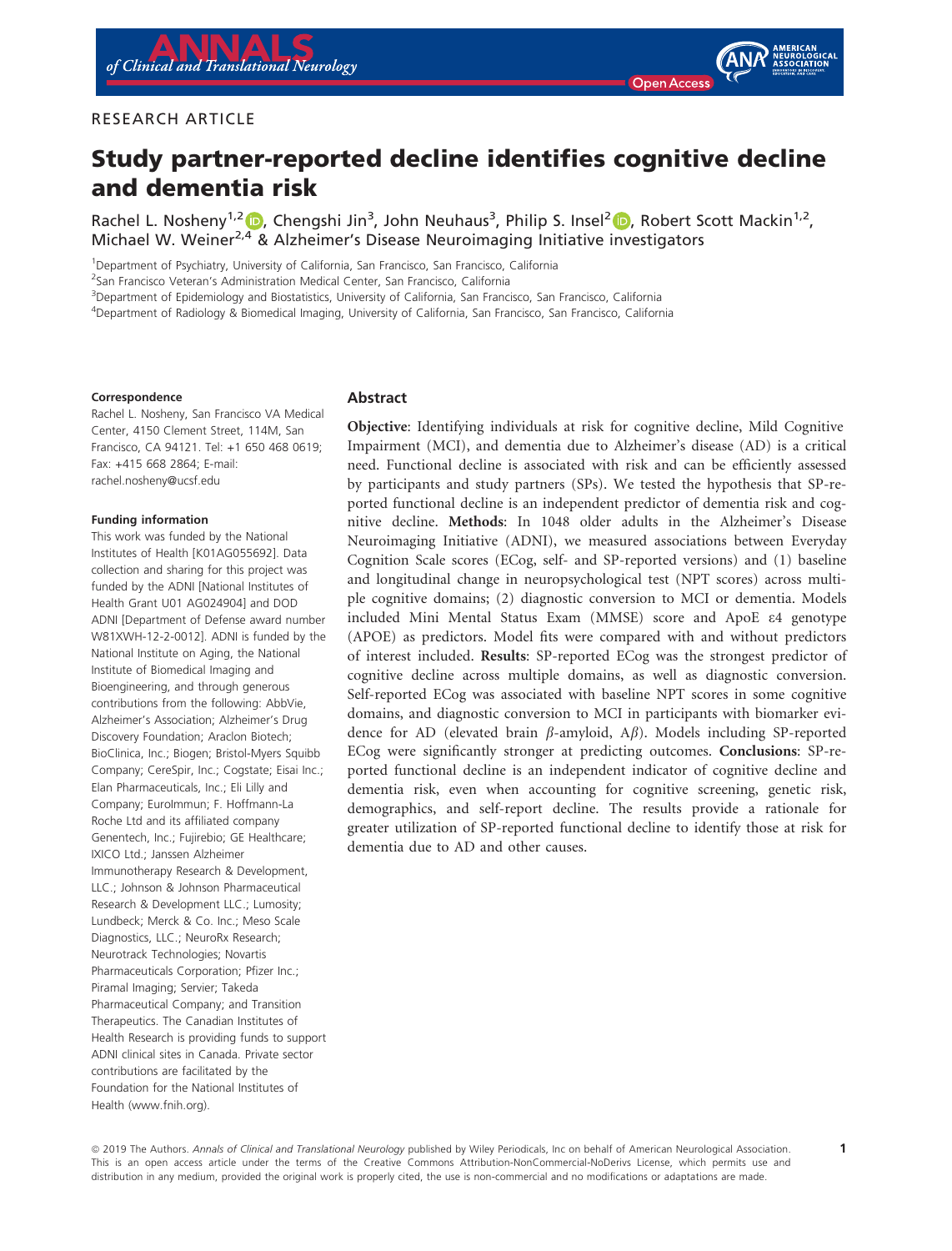### RESEARCH ARTICLE

# Study partner-reported decline identifies cognitive decline and dementia risk

Rachel L. Nosheny<sup>1,[2](https://orcid.org/0000-0002-6270-5490)</sup> D, Chengshi Jin<sup>3</sup>, John Neuhaus<sup>3</sup>, Philip S. Insel<sup>2</sup> D, Robert Scott Mackin<sup>1,2</sup>, Michael W. Weiner<sup>2[,4](https://orcid.org/0000-0003-4995-8319)</sup> & Alzheimer's Disease Neuroimaging Initiative investigators

<sup>1</sup>Department of Psychiatry, University of California, San Francisco, San Francisco, California

<sup>2</sup>San Francisco Veteran's Administration Medical Center, San Francisco, California

3 Department of Epidemiology and Biostatistics, University of California, San Francisco, San Francisco, California

4 Department of Radiology & Biomedical Imaging, University of California, San Francisco, San Francisco, California

#### Correspondence

Rachel L. Nosheny, San Francisco VA Medical Center, 4150 Clement Street, 114M, San Francisco, CA 94121. Tel: +1 650 468 0619; Fax: +415 668 2864; E-mail: [rachel.nosheny@ucsf.edu](mailto:)

#### Funding information

This work was funded by the National Institutes of Health [K01AG055692]. Data collection and sharing for this project was funded by the ADNI [National Institutes of Health Grant U01 AG024904] and DOD ADNI [Department of Defense award number W81XWH-12-2-0012]. ADNI is funded by the National Institute on Aging, the National Institute of Biomedical Imaging and Bioengineering, and through generous contributions from the following: AbbVie, Alzheimer's Association; Alzheimer's Drug Discovery Foundation; Araclon Biotech; BioClinica, Inc.; Biogen; Bristol-Myers Squibb Company; CereSpir, Inc.; Cogstate; Eisai Inc.; Elan Pharmaceuticals, Inc.; Eli Lilly and Company; EuroImmun; F. Hoffmann-La Roche Ltd and its affiliated company Genentech, Inc.; Fujirebio; GE Healthcare; IXICO Ltd.; Janssen Alzheimer Immunotherapy Research & Development, LLC.; Johnson & Johnson Pharmaceutical Research & Development LLC.; Lumosity; Lundbeck; Merck & Co. Inc.; Meso Scale Diagnostics, LLC.; NeuroRx Research; Neurotrack Technologies; Novartis Pharmaceuticals Corporation; Pfizer Inc.; Piramal Imaging; Servier; Takeda Pharmaceutical Company; and Transition Therapeutics. The Canadian Institutes of Health Research is providing funds to support ADNI clinical sites in Canada. Private sector contributions are facilitated by the Foundation for the National Institutes of Health [\(www.fnih.org](http://www.fnih.org)).

#### Abstract

Objective: Identifying individuals at risk for cognitive decline, Mild Cognitive Impairment (MCI), and dementia due to Alzheimer's disease (AD) is a critical need. Functional decline is associated with risk and can be efficiently assessed by participants and study partners (SPs). We tested the hypothesis that SP-reported functional decline is an independent predictor of dementia risk and cognitive decline. Methods: In 1048 older adults in the Alzheimer's Disease Neuroimaging Initiative (ADNI), we measured associations between Everyday Cognition Scale scores (ECog, self- and SP-reported versions) and (1) baseline and longitudinal change in neuropsychological test (NPT scores) across multiple cognitive domains; (2) diagnostic conversion to MCI or dementia. Models included Mini Mental Status Exam (MMSE) score and ApoE e4 genotype (APOE) as predictors. Model fits were compared with and without predictors of interest included. Results: SP-reported ECog was the strongest predictor of cognitive decline across multiple domains, as well as diagnostic conversion. Self-reported ECog was associated with baseline NPT scores in some cognitive domains, and diagnostic conversion to MCI in participants with biomarker evidence for AD (elevated brain  $\beta$ -amyloid, A $\beta$ ). Models including SP-reported ECog were significantly stronger at predicting outcomes. Conclusions: SP-reported functional decline is an independent indicator of cognitive decline and dementia risk, even when accounting for cognitive screening, genetic risk, demographics, and self-report decline. The results provide a rationale for greater utilization of SP-reported functional decline to identify those at risk for dementia due to AD and other causes.

ª 2019 The Authors. Annals of Clinical and Translational Neurology published by Wiley Periodicals, Inc on behalf of American Neurological Association. This is an open access article under the terms of the Creative Commons Attribution-NonCommercial-NoDerivs License, which permits use and distribution in any medium, provided the original work is properly cited, the use is non-commercial and no modifications or adaptations are made.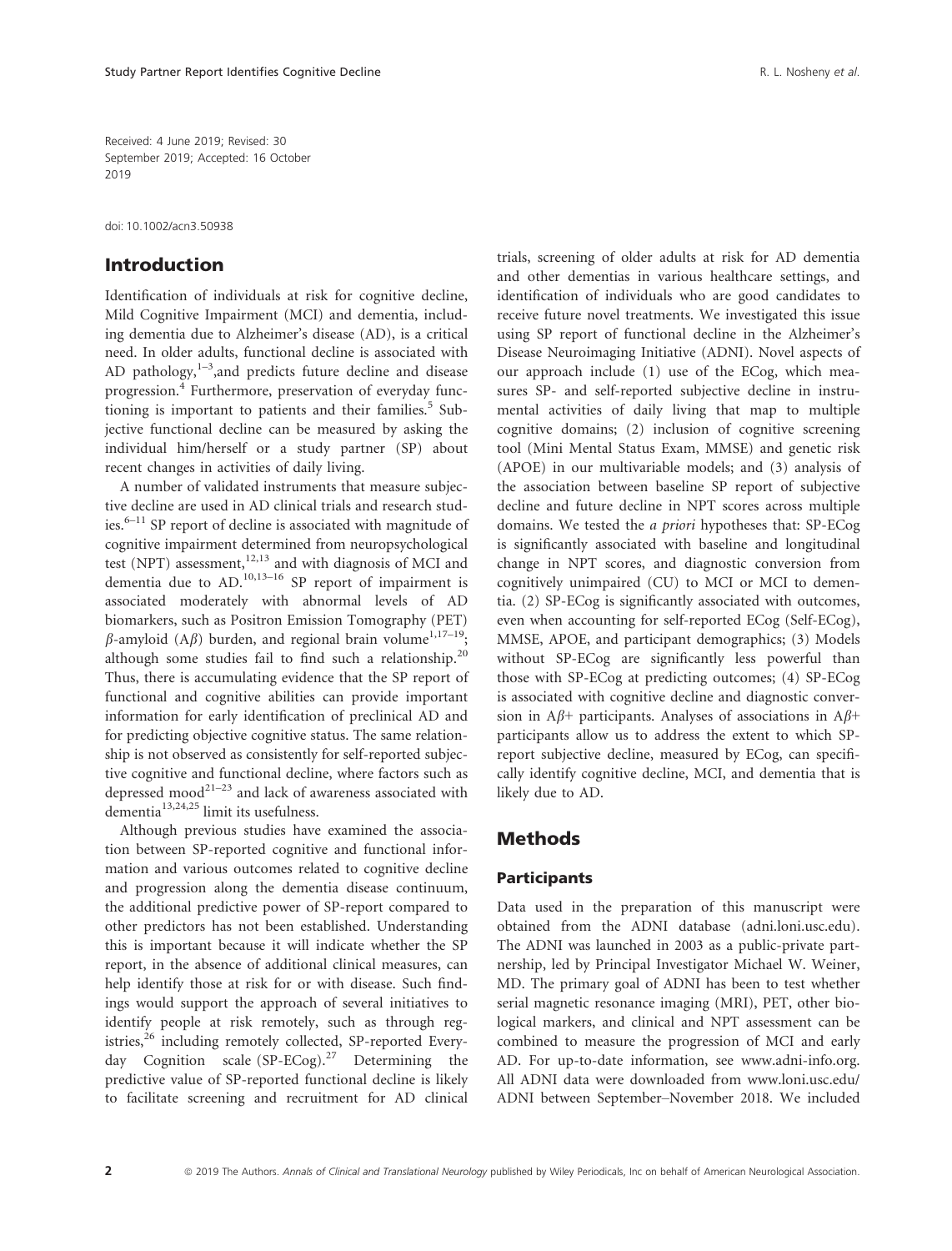Received: 4 June 2019; Revised: 30 September 2019; Accepted: 16 October 2019

doi: 10.1002/acn3.50938

### Introduction

Identification of individuals at risk for cognitive decline, Mild Cognitive Impairment (MCI) and dementia, including dementia due to Alzheimer's disease (AD), is a critical need. In older adults, functional decline is associated with AD pathology, $1-3$ , and predicts future decline and disease progression.<sup>4</sup> Furthermore, preservation of everyday functioning is important to patients and their families.<sup>5</sup> Subjective functional decline can be measured by asking the individual him/herself or a study partner (SP) about recent changes in activities of daily living.

A number of validated instruments that measure subjective decline are used in AD clinical trials and research studies. $6-11$  SP report of decline is associated with magnitude of cognitive impairment determined from neuropsychological test (NPT) assessment,<sup>12,13</sup> and with diagnosis of MCI and dementia due to  $AD<sub>10,13–16</sub>$  SP report of impairment is associated moderately with abnormal levels of AD biomarkers, such as Positron Emission Tomography (PET)  $\beta$ -amyloid (A $\beta$ ) burden, and regional brain volume<sup>1,17–19</sup>; although some studies fail to find such a relationship.<sup>20</sup> Thus, there is accumulating evidence that the SP report of functional and cognitive abilities can provide important information for early identification of preclinical AD and for predicting objective cognitive status. The same relationship is not observed as consistently for self-reported subjective cognitive and functional decline, where factors such as depressed mood<sup>21-23</sup> and lack of awareness associated with dementia13,24,25 limit its usefulness.

Although previous studies have examined the association between SP-reported cognitive and functional information and various outcomes related to cognitive decline and progression along the dementia disease continuum, the additional predictive power of SP-report compared to other predictors has not been established. Understanding this is important because it will indicate whether the SP report, in the absence of additional clinical measures, can help identify those at risk for or with disease. Such findings would support the approach of several initiatives to identify people at risk remotely, such as through registries,<sup>26</sup> including remotely collected, SP-reported Everyday Cognition scale (SP-ECog).27 Determining the predictive value of SP-reported functional decline is likely to facilitate screening and recruitment for AD clinical

trials, screening of older adults at risk for AD dementia and other dementias in various healthcare settings, and identification of individuals who are good candidates to receive future novel treatments. We investigated this issue using SP report of functional decline in the Alzheimer's Disease Neuroimaging Initiative (ADNI). Novel aspects of our approach include (1) use of the ECog, which measures SP- and self-reported subjective decline in instrumental activities of daily living that map to multiple cognitive domains; (2) inclusion of cognitive screening tool (Mini Mental Status Exam, MMSE) and genetic risk (APOE) in our multivariable models; and (3) analysis of the association between baseline SP report of subjective decline and future decline in NPT scores across multiple domains. We tested the a priori hypotheses that: SP-ECog is significantly associated with baseline and longitudinal change in NPT scores, and diagnostic conversion from cognitively unimpaired (CU) to MCI or MCI to dementia. (2) SP-ECog is significantly associated with outcomes, even when accounting for self-reported ECog (Self-ECog), MMSE, APOE, and participant demographics; (3) Models without SP-ECog are significantly less powerful than those with SP-ECog at predicting outcomes; (4) SP-ECog is associated with cognitive decline and diagnostic conversion in  $A\beta$ + participants. Analyses of associations in  $A\beta$ + participants allow us to address the extent to which SPreport subjective decline, measured by ECog, can specifically identify cognitive decline, MCI, and dementia that is likely due to AD.

### Methods

#### Participants

Data used in the preparation of this manuscript were obtained from the ADNI database (adni.loni.usc.edu). The ADNI was launched in 2003 as a public-private partnership, led by Principal Investigator Michael W. Weiner, MD. The primary goal of ADNI has been to test whether serial magnetic resonance imaging (MRI), PET, other biological markers, and clinical and NPT assessment can be combined to measure the progression of MCI and early AD. For up-to-date information, see [www.adni-info.org.](http://www.adni-info.org) All ADNI data were downloaded from [www.loni.usc.edu/](http://www.loni.usc.edu/ADNI) [ADNI](http://www.loni.usc.edu/ADNI) between September–November 2018. We included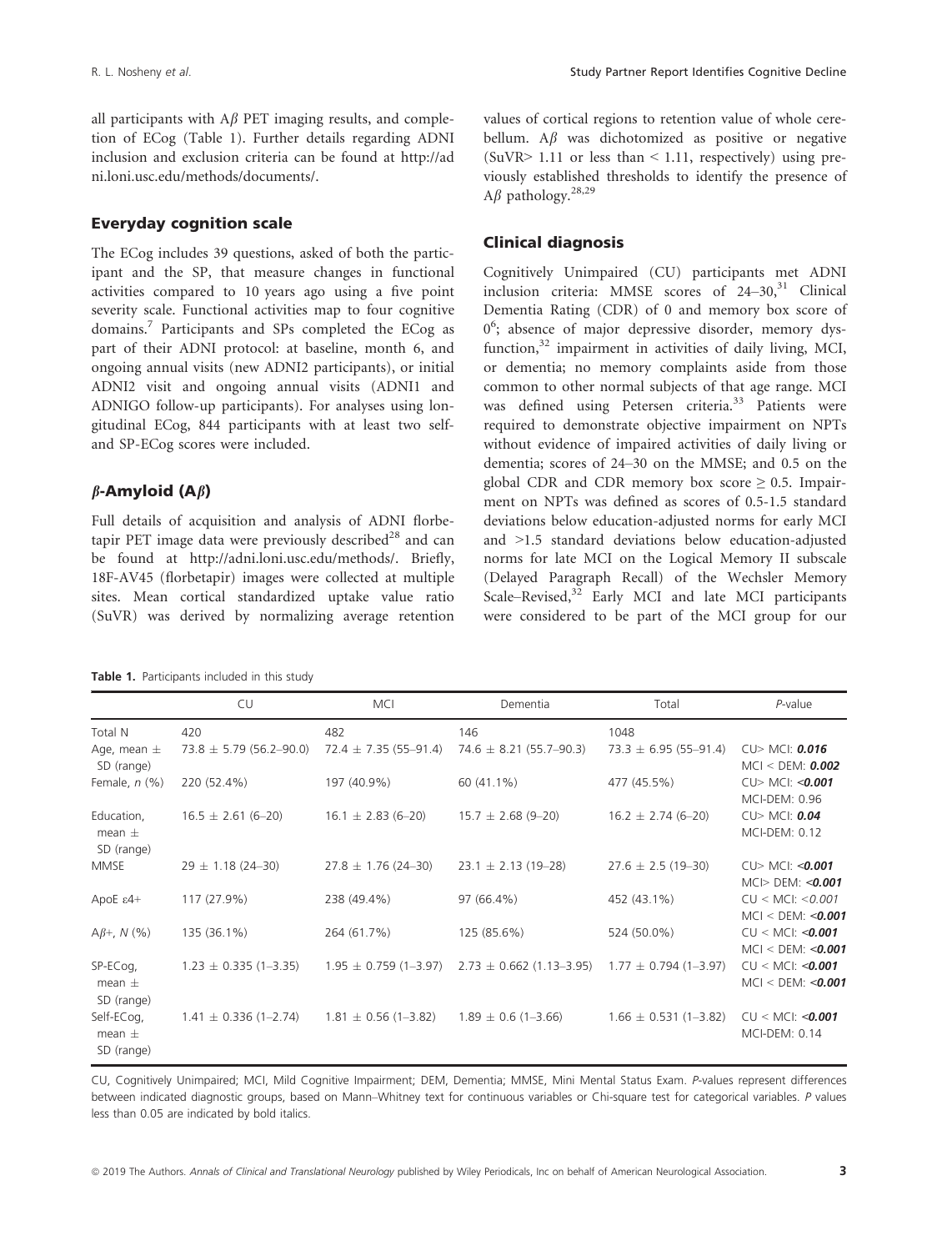all participants with  $A\beta$  PET imaging results, and completion of ECog (Table 1). Further details regarding ADNI inclusion and exclusion criteria can be found at [http://ad](http://adni.loni.usc.edu/methods/documents/) [ni.loni.usc.edu/methods/documents/](http://adni.loni.usc.edu/methods/documents/).

#### Everyday cognition scale

The ECog includes 39 questions, asked of both the participant and the SP, that measure changes in functional activities compared to 10 years ago using a five point severity scale. Functional activities map to four cognitive domains.7 Participants and SPs completed the ECog as part of their ADNI protocol: at baseline, month 6, and ongoing annual visits (new ADNI2 participants), or initial ADNI2 visit and ongoing annual visits (ADNI1 and ADNIGO follow-up participants). For analyses using longitudinal ECog, 844 participants with at least two selfand SP-ECog scores were included.

#### $\beta$ -Amyloid (A $\beta$ )

Full details of acquisition and analysis of ADNI florbetapir PET image data were previously described $^{28}$  and can be found at<http://adni.loni.usc.edu/methods/>. Briefly, 18F-AV45 (florbetapir) images were collected at multiple sites. Mean cortical standardized uptake value ratio (SuVR) was derived by normalizing average retention values of cortical regions to retention value of whole cerebellum.  $A\beta$  was dichotomized as positive or negative (SuVR $> 1.11$  or less than  $\leq 1.11$ , respectively) using previously established thresholds to identify the presence of A $\beta$  pathology.<sup>28,29</sup>

#### Clinical diagnosis

Cognitively Unimpaired (CU) participants met ADNI inclusion criteria: MMSE scores of 24-30,<sup>31</sup> Clinical Dementia Rating (CDR) of 0 and memory box score of 0<sup>6</sup>; absence of major depressive disorder, memory dysfunction, $32$  impairment in activities of daily living, MCI, or dementia; no memory complaints aside from those common to other normal subjects of that age range. MCI was defined using Petersen criteria.<sup>33</sup> Patients were required to demonstrate objective impairment on NPTs without evidence of impaired activities of daily living or dementia; scores of 24–30 on the MMSE; and 0.5 on the global CDR and CDR memory box score  $\geq$  0.5. Impairment on NPTs was defined as scores of 0.5-1.5 standard deviations below education-adjusted norms for early MCI and >1.5 standard deviations below education-adjusted norms for late MCI on the Logical Memory II subscale (Delayed Paragraph Recall) of the Wechsler Memory Scale–Revised, $32$  Early MCI and late MCI participants were considered to be part of the MCI group for our

Table 1. Participants included in this study

CU MCI Dementia Total P-value Total N 420 482 146 1048 Age, mean  $\pm$ SD (range)  $73.8 \pm 5.79$  (56.2–90.0)  $72.4 \pm 7.35$  (55–91.4)  $74.6 \pm 8.21$  (55.7–90.3)  $73.3 \pm 6.95$  (55–91.4) CU> MCI: 0.016 MCI < DEM: 0.002 Female, n (%) 220 (52.4%) 197 (40.9%) 60 (41.1%) 477 (45.5%) CU> MCI: <0.001 MCI-DEM: 0.96 Education, mean  $\pm$ SD (range)  $16.5 \pm 2.61$   $(6-20)$   $16.1 \pm 2.83$   $(6-20)$   $15.7 \pm 2.68$   $(9-20)$   $16.2 \pm 2.74$   $(6-20)$  CU > MCI: **0.04** MCI-DEM: 0.12 MMSE  $29 \pm 1.18$   $(24-30)$   $27.8 \pm 1.76$   $(24-30)$   $23.1 \pm 2.13$   $(19-28)$   $27.6 \pm 2.5$   $(19-30)$  CU> MCI: <0.001  $MC$  DEM:  $< 0.001$ ApoE  $\varepsilon$ 4+ 117 (27.9%) 238 (49.4%) 97 (66.4%) 452 (43.1%) CU < MCI: <0.001  $MCI < DEM: < 0.001$ AB<sub>+</sub>, N (%) 135 (36.1%) 264 (61.7%) 125 (85.6%) 524 (50.0%) CU < MCI: <**0.001**  $MCI < DEM: < 0.001$ SP-ECog, mean  $\pm$ SD (range)  $1.23 \pm 0.335$  (1–3.35)  $1.95 \pm 0.759$  (1–3.97)  $2.73 \pm 0.662$  (1.13–3.95)  $1.77 \pm 0.794$  (1–3.97) CU < MCI: <0.001  $MCI < DEM: < 0.001$ Self-ECog, mean  $\pm$ SD (range)  $1.41 \pm 0.336$  (1-2.74)  $1.81 \pm 0.56$  (1-3.82)  $1.89 \pm 0.6$  (1-3.66)  $1.66 \pm 0.531$  (1-3.82) CU < MCI: <0.001 MCI-DEM: 0.14

CU, Cognitively Unimpaired; MCI, Mild Cognitive Impairment; DEM, Dementia; MMSE, Mini Mental Status Exam. P-values represent differences between indicated diagnostic groups, based on Mann–Whitney text for continuous variables or Chi-square test for categorical variables. P values less than 0.05 are indicated by bold italics.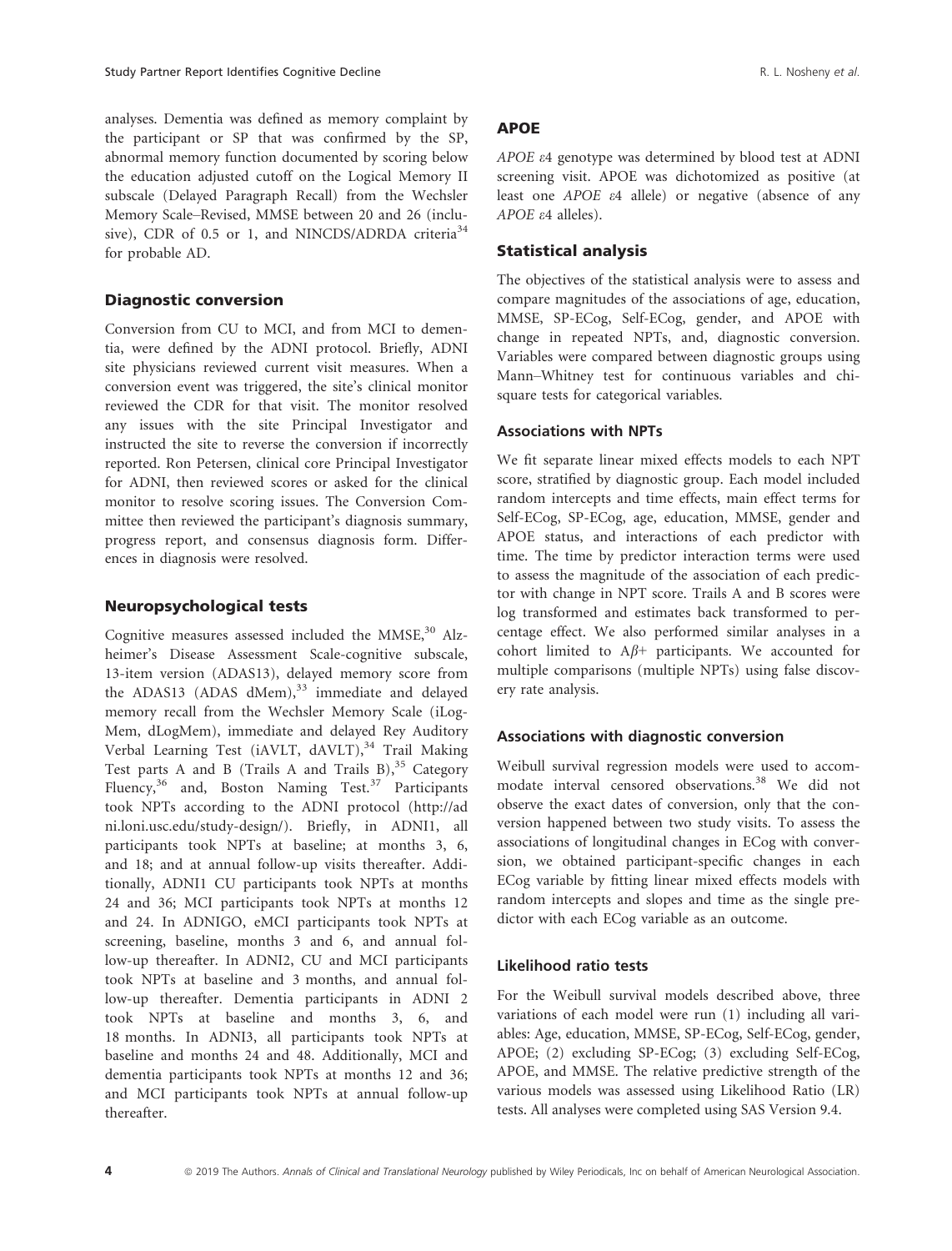Diagnostic conversion

for probable AD.

Conversion from CU to MCI, and from MCI to dementia, were defined by the ADNI protocol. Briefly, ADNI site physicians reviewed current visit measures. When a conversion event was triggered, the site's clinical monitor reviewed the CDR for that visit. The monitor resolved any issues with the site Principal Investigator and instructed the site to reverse the conversion if incorrectly reported. Ron Petersen, clinical core Principal Investigator for ADNI, then reviewed scores or asked for the clinical monitor to resolve scoring issues. The Conversion Committee then reviewed the participant's diagnosis summary, progress report, and consensus diagnosis form. Differences in diagnosis were resolved.

sive), CDR of 0.5 or 1, and NINCDS/ADRDA criteria<sup>34</sup>

#### Neuropsychological tests

Cognitive measures assessed included the MMSE,<sup>30</sup> Alzheimer's Disease Assessment Scale-cognitive subscale, 13-item version (ADAS13), delayed memory score from the ADAS13 (ADAS dMem), $33$  immediate and delayed memory recall from the Wechsler Memory Scale (iLog-Mem, dLogMem), immediate and delayed Rey Auditory Verbal Learning Test (iAVLT, dAVLT),<sup>34</sup> Trail Making Test parts A and B (Trails A and Trails B), $35$  Category Fluency,<sup>36</sup> and, Boston Naming Test.<sup>37</sup> Participants took NPTs according to the ADNI protocol ([http://ad](http://adni.loni.usc.edu/study-design/) [ni.loni.usc.edu/study-design/](http://adni.loni.usc.edu/study-design/)). Briefly, in ADNI1, all participants took NPTs at baseline; at months 3, 6, and 18; and at annual follow-up visits thereafter. Additionally, ADNI1 CU participants took NPTs at months 24 and 36; MCI participants took NPTs at months 12 and 24. In ADNIGO, eMCI participants took NPTs at screening, baseline, months 3 and 6, and annual follow-up thereafter. In ADNI2, CU and MCI participants took NPTs at baseline and 3 months, and annual follow-up thereafter. Dementia participants in ADNI 2 took NPTs at baseline and months 3, 6, and 18 months. In ADNI3, all participants took NPTs at baseline and months 24 and 48. Additionally, MCI and dementia participants took NPTs at months 12 and 36; and MCI participants took NPTs at annual follow-up thereafter.

### APOE

APOE e4 genotype was determined by blood test at ADNI screening visit. APOE was dichotomized as positive (at least one APOE e4 allele) or negative (absence of any APOE e4 alleles).

### Statistical analysis

The objectives of the statistical analysis were to assess and compare magnitudes of the associations of age, education, MMSE, SP-ECog, Self-ECog, gender, and APOE with change in repeated NPTs, and, diagnostic conversion. Variables were compared between diagnostic groups using Mann–Whitney test for continuous variables and chisquare tests for categorical variables.

#### Associations with NPTs

We fit separate linear mixed effects models to each NPT score, stratified by diagnostic group. Each model included random intercepts and time effects, main effect terms for Self-ECog, SP-ECog, age, education, MMSE, gender and APOE status, and interactions of each predictor with time. The time by predictor interaction terms were used to assess the magnitude of the association of each predictor with change in NPT score. Trails A and B scores were log transformed and estimates back transformed to percentage effect. We also performed similar analyses in a cohort limited to  $A\beta$ + participants. We accounted for multiple comparisons (multiple NPTs) using false discovery rate analysis.

#### Associations with diagnostic conversion

Weibull survival regression models were used to accommodate interval censored observations.<sup>38</sup> We did not observe the exact dates of conversion, only that the conversion happened between two study visits. To assess the associations of longitudinal changes in ECog with conversion, we obtained participant-specific changes in each ECog variable by fitting linear mixed effects models with random intercepts and slopes and time as the single predictor with each ECog variable as an outcome.

#### Likelihood ratio tests

For the Weibull survival models described above, three variations of each model were run (1) including all variables: Age, education, MMSE, SP-ECog, Self-ECog, gender, APOE; (2) excluding SP-ECog; (3) excluding Self-ECog, APOE, and MMSE. The relative predictive strength of the various models was assessed using Likelihood Ratio (LR) tests. All analyses were completed using SAS Version 9.4.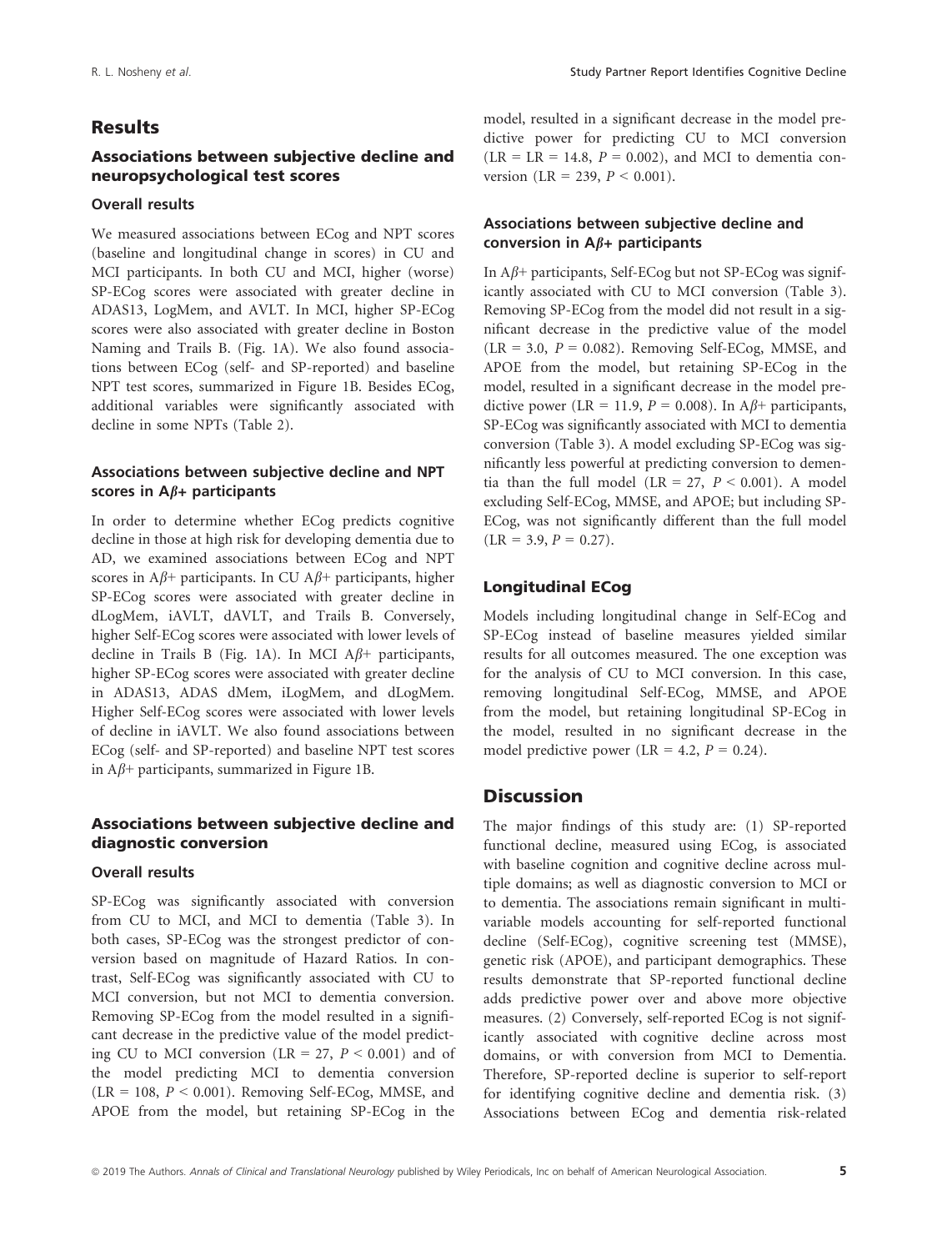## **Results**

### Associations between subjective decline and neuropsychological test scores

#### Overall results

We measured associations between ECog and NPT scores (baseline and longitudinal change in scores) in CU and MCI participants. In both CU and MCI, higher (worse) SP-ECog scores were associated with greater decline in ADAS13, LogMem, and AVLT. In MCI, higher SP-ECog scores were also associated with greater decline in Boston Naming and Trails B. (Fig. 1A). We also found associations between ECog (self- and SP-reported) and baseline NPT test scores, summarized in Figure 1B. Besides ECog, additional variables were significantly associated with decline in some NPTs (Table 2).

### Associations between subjective decline and NPT scores in  $A\beta$ + participants

In order to determine whether ECog predicts cognitive decline in those at high risk for developing dementia due to AD, we examined associations between ECog and NPT scores in  $A\beta$ + participants. In CU  $A\beta$ + participants, higher SP-ECog scores were associated with greater decline in dLogMem, iAVLT, dAVLT, and Trails B. Conversely, higher Self-ECog scores were associated with lower levels of decline in Trails B (Fig. 1A). In MCI  $A\beta$ + participants, higher SP-ECog scores were associated with greater decline in ADAS13, ADAS dMem, iLogMem, and dLogMem. Higher Self-ECog scores were associated with lower levels of decline in iAVLT. We also found associations between ECog (self- and SP-reported) and baseline NPT test scores in  $A\beta$ + participants, summarized in Figure 1B.

### Associations between subjective decline and diagnostic conversion

#### Overall results

SP-ECog was significantly associated with conversion from CU to MCI, and MCI to dementia (Table 3). In both cases, SP-ECog was the strongest predictor of conversion based on magnitude of Hazard Ratios. In contrast, Self-ECog was significantly associated with CU to MCI conversion, but not MCI to dementia conversion. Removing SP-ECog from the model resulted in a significant decrease in the predictive value of the model predicting CU to MCI conversion (LR = 27,  $P < 0.001$ ) and of the model predicting MCI to dementia conversion  $(LR = 108, P < 0.001)$ . Removing Self-ECog, MMSE, and APOE from the model, but retaining SP-ECog in the model, resulted in a significant decrease in the model predictive power for predicting CU to MCI conversion  $(LR = LR = 14.8, P = 0.002)$ , and MCI to dementia conversion (LR = 239,  $P < 0.001$ ).

#### Associations between subjective decline and conversion in  $A\beta$ + participants

In  $A\beta$ + participants, Self-ECog but not SP-ECog was significantly associated with CU to MCI conversion (Table 3). Removing SP-ECog from the model did not result in a significant decrease in the predictive value of the model  $(LR = 3.0, P = 0.082)$ . Removing Self-ECog, MMSE, and APOE from the model, but retaining SP-ECog in the model, resulted in a significant decrease in the model predictive power (LR = 11.9,  $P = 0.008$ ). In A $\beta$ + participants, SP-ECog was significantly associated with MCI to dementia conversion (Table 3). A model excluding SP-ECog was significantly less powerful at predicting conversion to dementia than the full model (LR = 27,  $P < 0.001$ ). A model excluding Self-ECog, MMSE, and APOE; but including SP-ECog, was not significantly different than the full model  $(LR = 3.9, P = 0.27).$ 

#### Longitudinal ECog

Models including longitudinal change in Self-ECog and SP-ECog instead of baseline measures yielded similar results for all outcomes measured. The one exception was for the analysis of CU to MCI conversion. In this case, removing longitudinal Self-ECog, MMSE, and APOE from the model, but retaining longitudinal SP-ECog in the model, resulted in no significant decrease in the model predictive power (LR = 4.2,  $P = 0.24$ ).

# **Discussion**

The major findings of this study are: (1) SP-reported functional decline, measured using ECog, is associated with baseline cognition and cognitive decline across multiple domains; as well as diagnostic conversion to MCI or to dementia. The associations remain significant in multivariable models accounting for self-reported functional decline (Self-ECog), cognitive screening test (MMSE), genetic risk (APOE), and participant demographics. These results demonstrate that SP-reported functional decline adds predictive power over and above more objective measures. (2) Conversely, self-reported ECog is not significantly associated with cognitive decline across most domains, or with conversion from MCI to Dementia. Therefore, SP-reported decline is superior to self-report for identifying cognitive decline and dementia risk. (3) Associations between ECog and dementia risk-related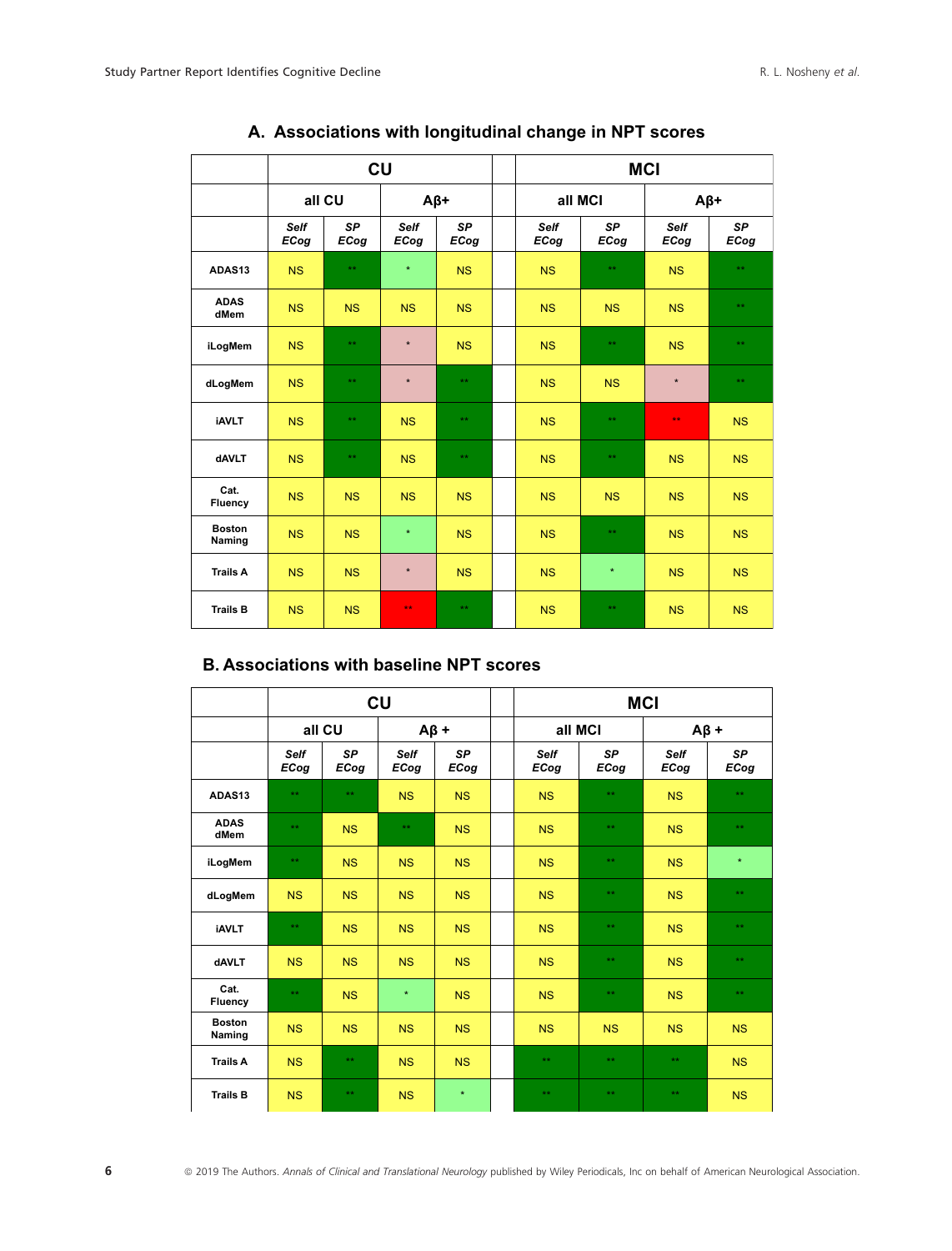|                         | CU                  |                   |                     |                   | <b>MCI</b>          |                   |                     |                   |
|-------------------------|---------------------|-------------------|---------------------|-------------------|---------------------|-------------------|---------------------|-------------------|
|                         | all CU              |                   | $A\beta +$          |                   | all MCI             |                   | $A\beta +$          |                   |
|                         | <b>Self</b><br>ECog | <b>SP</b><br>ECog | <b>Self</b><br>ECog | <b>SP</b><br>ECog | <b>Self</b><br>ECog | <b>SP</b><br>ECog | <b>Self</b><br>ECog | <b>SP</b><br>ECog |
| ADAS13                  | <b>NS</b>           | $\star\star$      | $\star$             | <b>NS</b>         | <b>NS</b>           | $\star\star$      | <b>NS</b>           | $\star\star$      |
| <b>ADAS</b><br>dMem     | <b>NS</b>           | <b>NS</b>         | <b>NS</b>           | <b>NS</b>         | <b>NS</b>           | <b>NS</b>         | <b>NS</b>           | $\star\star$      |
| <b>iLogMem</b>          | <b>NS</b>           | $\star\star$      | $\star$             | <b>NS</b>         | <b>NS</b>           | $\star\star$      | <b>NS</b>           | $\star\star$      |
| dLogMem                 | <b>NS</b>           | $\star\star$      | $\star$             | $\star\star$      | <b>NS</b>           | <b>NS</b>         | $\star$             | $\star\star$      |
| <b>iAVLT</b>            | <b>NS</b>           | $\star\star$      | <b>NS</b>           | $\star\star$      | <b>NS</b>           | $\star\star$      | **                  | <b>NS</b>         |
| dAVLT                   | <b>NS</b>           | ××                | <b>NS</b>           | **                | <b>NS</b>           | $\star\star$      | <b>NS</b>           | <b>NS</b>         |
| Cat.<br>Fluency         | <b>NS</b>           | <b>NS</b>         | <b>NS</b>           | <b>NS</b>         | <b>NS</b>           | <b>NS</b>         | <b>NS</b>           | <b>NS</b>         |
| <b>Boston</b><br>Naming | <b>NS</b>           | <b>NS</b>         | $\star$             | <b>NS</b>         | <b>NS</b>           | $\star\star$      | <b>NS</b>           | <b>NS</b>         |
| <b>Trails A</b>         | <b>NS</b>           | <b>NS</b>         | $\star$             | <b>NS</b>         | <b>NS</b>           | $\star$           | <b>NS</b>           | <b>NS</b>         |
| <b>Trails B</b>         | <b>NS</b>           | <b>NS</b>         | **                  | $\star\star$      | <b>NS</b>           | $**$              | <b>NS</b>           | <b>NS</b>         |

# **A. Associations with longitudinal change in NPT scores**

# **B. Associations with baseline NPT scores**

|                         | CU                  |                   |                     |            | <b>MCI</b>          |                   |                     |                   |
|-------------------------|---------------------|-------------------|---------------------|------------|---------------------|-------------------|---------------------|-------------------|
|                         | all CU              |                   | $A\beta +$          |            | all MCI             |                   | $A\beta +$          |                   |
|                         | <b>Self</b><br>ECog | <b>SP</b><br>ECog | <b>Self</b><br>ECog | SP<br>ECog | <b>Self</b><br>ECog | <b>SP</b><br>ECog | <b>Self</b><br>ECog | <b>SP</b><br>ECog |
| ADAS13                  | $\star\star$        | $\star\star$      | <b>NS</b>           | <b>NS</b>  | <b>NS</b>           | $**$              | <b>NS</b>           | $\star\star$      |
| <b>ADAS</b><br>dMem     | $\star\star$        | <b>NS</b>         | $\star\star$        | <b>NS</b>  | <b>NS</b>           | $\star\star$      | <b>NS</b>           | $\star\star$      |
| iLogMem                 | $\star\star$        | <b>NS</b>         | <b>NS</b>           | <b>NS</b>  | <b>NS</b>           | $**$              | <b>NS</b>           | $\star$           |
| dLogMem                 | <b>NS</b>           | <b>NS</b>         | <b>NS</b>           | <b>NS</b>  | <b>NS</b>           | $\star\star$      | <b>NS</b>           | $\star\star$      |
| <b>IAVLT</b>            | $**$                | <b>NS</b>         | <b>NS</b>           | <b>NS</b>  | <b>NS</b>           | $**$              | <b>NS</b>           | $\star\star$      |
| dAVLT                   | <b>NS</b>           | <b>NS</b>         | <b>NS</b>           | <b>NS</b>  | <b>NS</b>           | $**$              | <b>NS</b>           | $**$              |
| Cat.<br><b>Fluency</b>  | $\star\star$        | <b>NS</b>         | $\star$             | <b>NS</b>  | <b>NS</b>           | $**$              | <b>NS</b>           | $**$              |
| <b>Boston</b><br>Naming | <b>NS</b>           | <b>NS</b>         | <b>NS</b>           | <b>NS</b>  | <b>NS</b>           | <b>NS</b>         | <b>NS</b>           | <b>NS</b>         |
| <b>Trails A</b>         | <b>NS</b>           | $**$              | <b>NS</b>           | <b>NS</b>  | $\star\star$        | $\star\star$      | $\star\star$        | <b>NS</b>         |
| <b>Trails B</b>         | <b>NS</b>           | $\star\star$      | <b>NS</b>           | $\star$    | $\star\star$        | $**$              | $\star\star$        | <b>NS</b>         |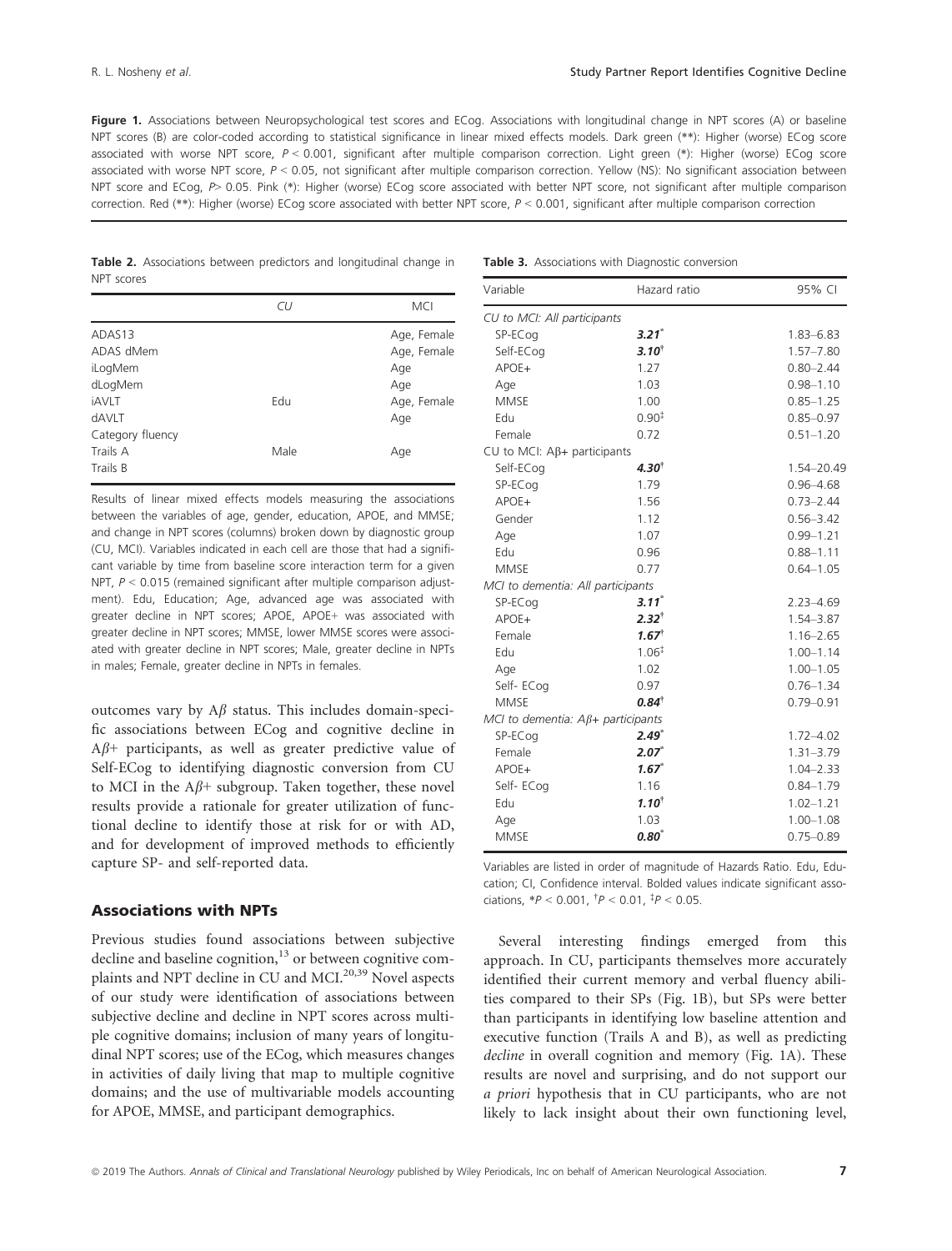Figure 1. Associations between Neuropsychological test scores and ECog. Associations with longitudinal change in NPT scores (A) or baseline NPT scores (B) are color-coded according to statistical significance in linear mixed effects models. Dark green (\*\*): Higher (worse) ECog score associated with worse NPT score, P < 0.001, significant after multiple comparison correction. Light green (\*): Higher (worse) ECog score associated with worse NPT score, P < 0.05, not significant after multiple comparison correction. Yellow (NS): No significant association between NPT score and ECog, P> 0.05. Pink (\*): Higher (worse) ECog score associated with better NPT score, not significant after multiple comparison correction. Red (\*\*): Higher (worse) ECog score associated with better NPT score,  $P < 0.001$ , significant after multiple comparison correction

Table 2. Associations between predictors and longitudinal change in NPT scores

|                                                                                        | CU   | <b>MCI</b>                                                     |
|----------------------------------------------------------------------------------------|------|----------------------------------------------------------------|
| ADAS13<br>ADAS dMem<br>iLogMem<br>dLogMem<br><b>iAVLT</b><br>dAVLT<br>Category fluency | Edu  | Age, Female<br>Age, Female<br>Age<br>Age<br>Age, Female<br>Age |
| Trails A<br>Trails B                                                                   | Male | Age                                                            |
|                                                                                        |      |                                                                |

Results of linear mixed effects models measuring the associations between the variables of age, gender, education, APOE, and MMSE; and change in NPT scores (columns) broken down by diagnostic group (CU, MCI). Variables indicated in each cell are those that had a significant variable by time from baseline score interaction term for a given NPT, P < 0.015 (remained significant after multiple comparison adjustment). Edu, Education; Age, advanced age was associated with greater decline in NPT scores; APOE, APOE+ was associated with greater decline in NPT scores; MMSE, lower MMSE scores were associated with greater decline in NPT scores; Male, greater decline in NPTs in males; Female, greater decline in NPTs in females.

outcomes vary by  $A\beta$  status. This includes domain-specific associations between ECog and cognitive decline in  $A\beta$ + participants, as well as greater predictive value of Self-ECog to identifying diagnostic conversion from CU to MCI in the  $A\beta$ + subgroup. Taken together, these novel results provide a rationale for greater utilization of functional decline to identify those at risk for or with AD, and for development of improved methods to efficiently capture SP- and self-reported data.

#### Associations with NPTs

Previous studies found associations between subjective decline and baseline cognition, $13$  or between cognitive complaints and NPT decline in CU and MCI.<sup>20,39</sup> Novel aspects of our study were identification of associations between subjective decline and decline in NPT scores across multiple cognitive domains; inclusion of many years of longitudinal NPT scores; use of the ECog, which measures changes in activities of daily living that map to multiple cognitive domains; and the use of multivariable models accounting for APOE, MMSE, and participant demographics.

| Table 3. Associations with Diagnostic conversion |  |
|--------------------------------------------------|--|
|--------------------------------------------------|--|

| Variable                                 | Hazard ratio        | 95% CI        |
|------------------------------------------|---------------------|---------------|
| CU to MCI: All participants              |                     |               |
| SP-ECog                                  | $3.21*$             | 1.83-6.83     |
| Self-ECog                                | $3.10^{+}$          | $1.57 - 7.80$ |
| $APOE+$                                  | 1.27                | $0.80 - 2.44$ |
| Age                                      | 1.03                | $0.98 - 1.10$ |
| <b>MMSE</b>                              | 1.00                | $0.85 - 1.25$ |
| Edu                                      | $0.90^{1}$          | $0.85 - 0.97$ |
| Female                                   | 0.72                | $0.51 - 1.20$ |
| CU to MCI: $A\beta +$ participants       |                     |               |
| Self-ECog                                | $4.30^{+}$          | 1.54-20.49    |
| SP-ECog                                  | 1.79                | $0.96 - 4.68$ |
| APOE+                                    | 1.56                | $0.73 - 2.44$ |
| Gender                                   | 1.12                | $0.56 - 3.42$ |
| Age                                      | 1.07                | $0.99 - 1.21$ |
| Edu                                      | 0.96                | $0.88 - 1.11$ |
| <b>MMSE</b>                              | 0.77                | $0.64 - 1.05$ |
| MCI to dementia: All participants        |                     |               |
| SP-ECog                                  | $3.11^{*}$          | $2.23 - 4.69$ |
| APOE+                                    | $2.32^{\dagger}$    | 1.54-3.87     |
| Female                                   | $1.67$ <sup>†</sup> | $1.16 - 2.65$ |
| Edu                                      | $1.06^{\ddagger}$   | $1.00 - 1.14$ |
| Age                                      | 1.02                | $1.00 - 1.05$ |
| Self-ECog                                | 0.97                | $0.76 - 1.34$ |
| <b>MMSE</b>                              | $0.84^{\dagger}$    | $0.79 - 0.91$ |
| MCI to dementia: $A\beta$ + participants |                     |               |
| SP-ECog                                  | $2.49*$             | $1.72 - 4.02$ |
| Female                                   | $2.07^*$            | $1.31 - 3.79$ |
| APOE+                                    | $1.67*$             | $1.04 - 2.33$ |
| Self-ECog                                | 1.16                | $0.84 - 1.79$ |
| Edu                                      | $1.10^{+}$          | $1.02 - 1.21$ |
| Age                                      | 1.03                | $1.00 - 1.08$ |
| <b>MMSE</b>                              | $0.80^*$            | $0.75 - 0.89$ |

Variables are listed in order of magnitude of Hazards Ratio. Edu, Education; CI, Confidence interval. Bolded values indicate significant associations,  $*P < 0.001$ ,  $^{\dagger}P < 0.01$ ,  $^{\dagger}P < 0.05$ .

Several interesting findings emerged from this approach. In CU, participants themselves more accurately identified their current memory and verbal fluency abilities compared to their SPs (Fig. 1B), but SPs were better than participants in identifying low baseline attention and executive function (Trails A and B), as well as predicting decline in overall cognition and memory (Fig. 1A). These results are novel and surprising, and do not support our a priori hypothesis that in CU participants, who are not likely to lack insight about their own functioning level,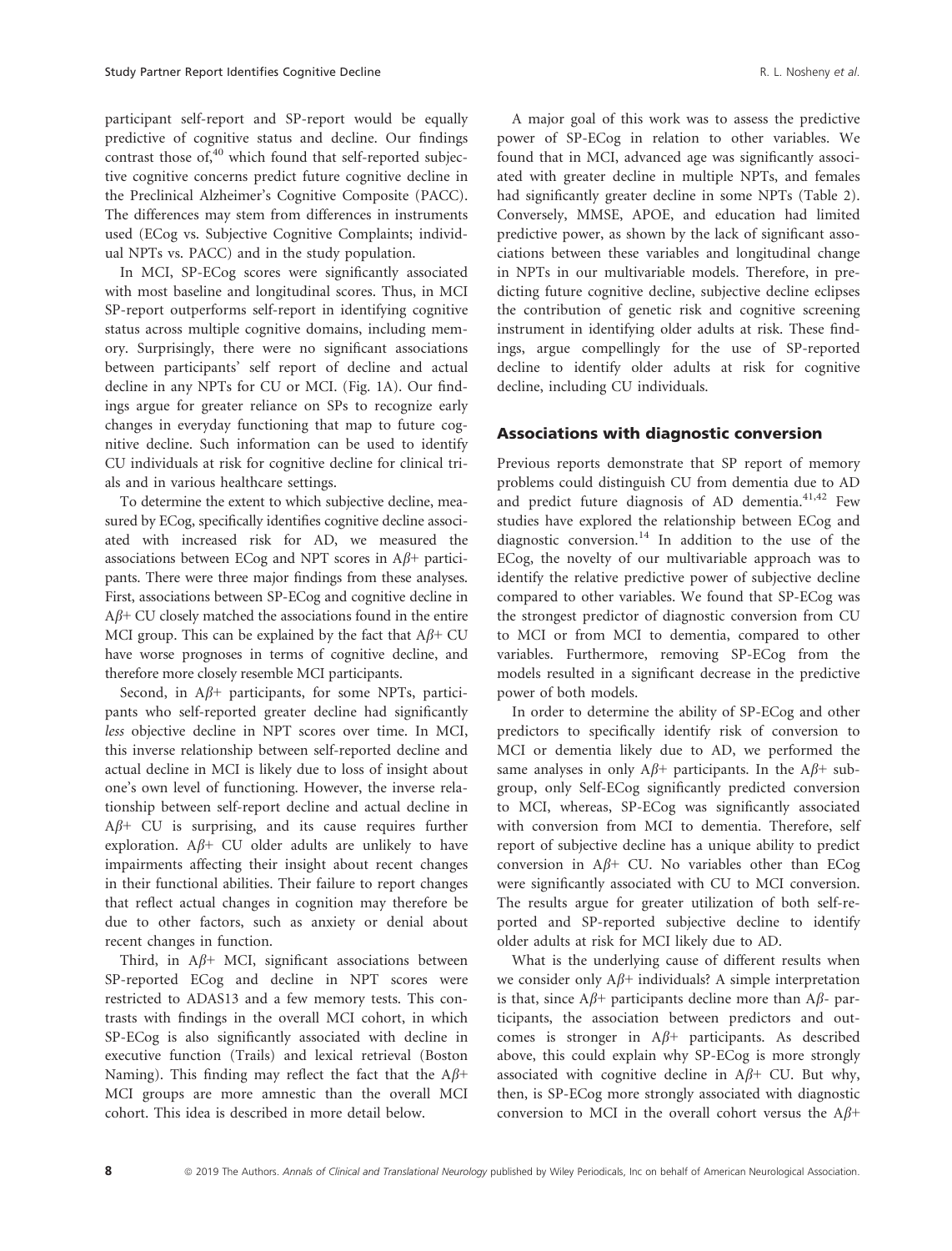participant self-report and SP-report would be equally predictive of cognitive status and decline. Our findings contrast those of, $40$  which found that self-reported subjective cognitive concerns predict future cognitive decline in the Preclinical Alzheimer's Cognitive Composite (PACC). The differences may stem from differences in instruments used (ECog vs. Subjective Cognitive Complaints; individual NPTs vs. PACC) and in the study population.

In MCI, SP-ECog scores were significantly associated with most baseline and longitudinal scores. Thus, in MCI SP-report outperforms self-report in identifying cognitive status across multiple cognitive domains, including memory. Surprisingly, there were no significant associations between participants' self report of decline and actual decline in any NPTs for CU or MCI. (Fig. 1A). Our findings argue for greater reliance on SPs to recognize early changes in everyday functioning that map to future cognitive decline. Such information can be used to identify CU individuals at risk for cognitive decline for clinical trials and in various healthcare settings.

To determine the extent to which subjective decline, measured by ECog, specifically identifies cognitive decline associated with increased risk for AD, we measured the associations between ECog and NPT scores in  $A\beta$ + participants. There were three major findings from these analyses. First, associations between SP-ECog and cognitive decline in  $A\beta$ + CU closely matched the associations found in the entire MCI group. This can be explained by the fact that  $A\beta$ + CU have worse prognoses in terms of cognitive decline, and therefore more closely resemble MCI participants.

Second, in  $A\beta$ + participants, for some NPTs, participants who self-reported greater decline had significantly less objective decline in NPT scores over time. In MCI, this inverse relationship between self-reported decline and actual decline in MCI is likely due to loss of insight about one's own level of functioning. However, the inverse relationship between self-report decline and actual decline in  $A\beta$ + CU is surprising, and its cause requires further exploration.  $A\beta$ + CU older adults are unlikely to have impairments affecting their insight about recent changes in their functional abilities. Their failure to report changes that reflect actual changes in cognition may therefore be due to other factors, such as anxiety or denial about recent changes in function.

Third, in  $A\beta$ + MCI, significant associations between SP-reported ECog and decline in NPT scores were restricted to ADAS13 and a few memory tests. This contrasts with findings in the overall MCI cohort, in which SP-ECog is also significantly associated with decline in executive function (Trails) and lexical retrieval (Boston Naming). This finding may reflect the fact that the  $A\beta$ + MCI groups are more amnestic than the overall MCI cohort. This idea is described in more detail below.

A major goal of this work was to assess the predictive power of SP-ECog in relation to other variables. We found that in MCI, advanced age was significantly associated with greater decline in multiple NPTs, and females had significantly greater decline in some NPTs (Table 2). Conversely, MMSE, APOE, and education had limited predictive power, as shown by the lack of significant associations between these variables and longitudinal change in NPTs in our multivariable models. Therefore, in predicting future cognitive decline, subjective decline eclipses the contribution of genetic risk and cognitive screening instrument in identifying older adults at risk. These findings, argue compellingly for the use of SP-reported decline to identify older adults at risk for cognitive decline, including CU individuals.

#### Associations with diagnostic conversion

Previous reports demonstrate that SP report of memory problems could distinguish CU from dementia due to AD and predict future diagnosis of AD dementia.<sup>41,42</sup> Few studies have explored the relationship between ECog and diagnostic conversion.<sup>14</sup> In addition to the use of the ECog, the novelty of our multivariable approach was to identify the relative predictive power of subjective decline compared to other variables. We found that SP-ECog was the strongest predictor of diagnostic conversion from CU to MCI or from MCI to dementia, compared to other variables. Furthermore, removing SP-ECog from the models resulted in a significant decrease in the predictive power of both models.

In order to determine the ability of SP-ECog and other predictors to specifically identify risk of conversion to MCI or dementia likely due to AD, we performed the same analyses in only  $A\beta$ + participants. In the  $A\beta$ + subgroup, only Self-ECog significantly predicted conversion to MCI, whereas, SP-ECog was significantly associated with conversion from MCI to dementia. Therefore, self report of subjective decline has a unique ability to predict conversion in  $A\beta$ + CU. No variables other than ECog were significantly associated with CU to MCI conversion. The results argue for greater utilization of both self-reported and SP-reported subjective decline to identify older adults at risk for MCI likely due to AD.

What is the underlying cause of different results when we consider only  $A\beta$ + individuals? A simple interpretation is that, since  $A\beta$ + participants decline more than  $A\beta$ - participants, the association between predictors and outcomes is stronger in  $A\beta$ + participants. As described above, this could explain why SP-ECog is more strongly associated with cognitive decline in  $A\beta$ + CU. But why, then, is SP-ECog more strongly associated with diagnostic conversion to MCI in the overall cohort versus the  $A\beta$ +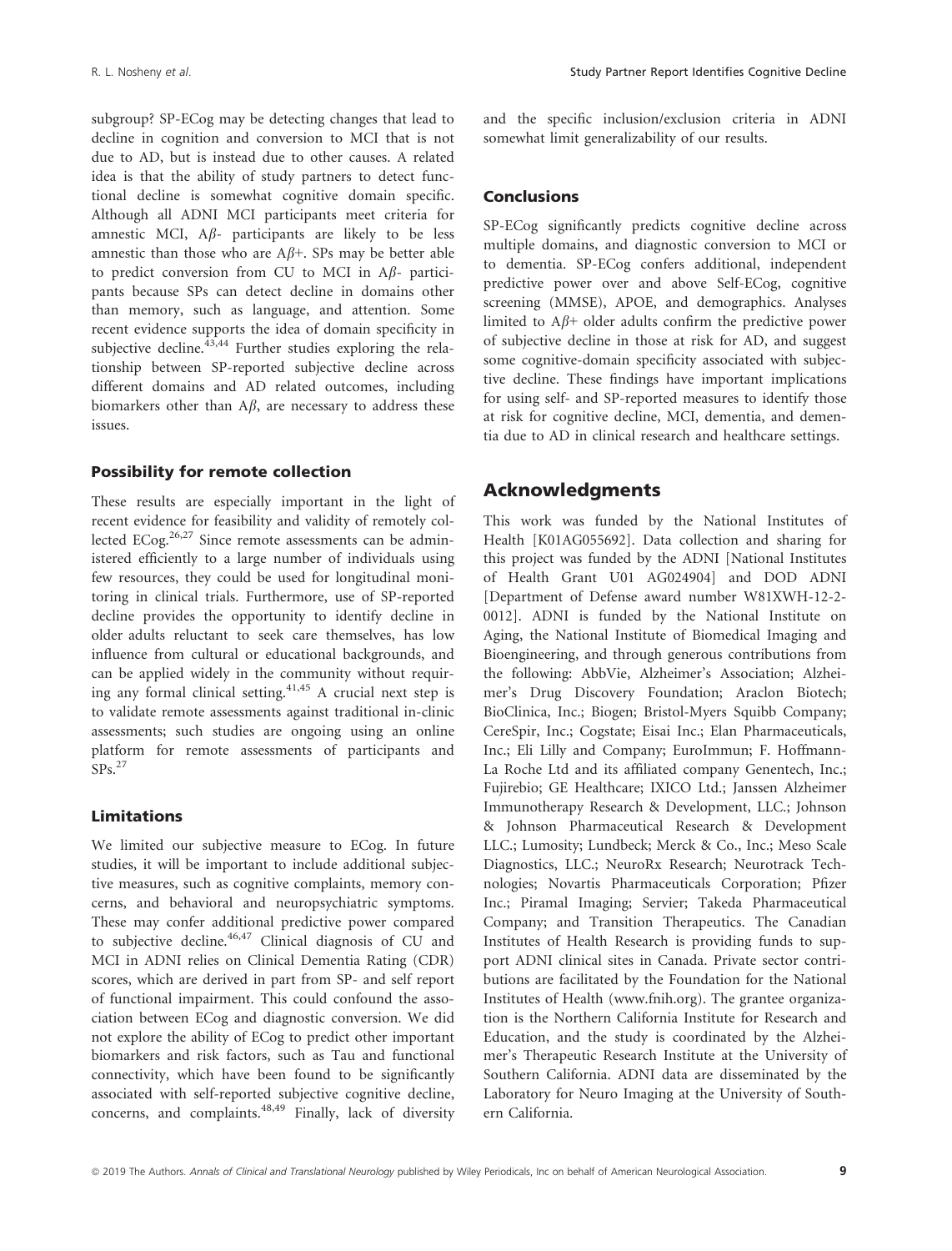subgroup? SP-ECog may be detecting changes that lead to decline in cognition and conversion to MCI that is not due to AD, but is instead due to other causes. A related idea is that the ability of study partners to detect functional decline is somewhat cognitive domain specific. Although all ADNI MCI participants meet criteria for amnestic MCI,  $\mathbf{A}\beta$ - participants are likely to be less amnestic than those who are  $A\beta$ +. SPs may be better able to predict conversion from CU to MCI in  $A\beta$ - participants because SPs can detect decline in domains other than memory, such as language, and attention. Some recent evidence supports the idea of domain specificity in subjective decline. $43,44$  Further studies exploring the relationship between SP-reported subjective decline across different domains and AD related outcomes, including biomarkers other than  $A\beta$ , are necessary to address these issues.

#### Possibility for remote collection

These results are especially important in the light of recent evidence for feasibility and validity of remotely collected  $ECog.$ <sup>26,27</sup> Since remote assessments can be administered efficiently to a large number of individuals using few resources, they could be used for longitudinal monitoring in clinical trials. Furthermore, use of SP-reported decline provides the opportunity to identify decline in older adults reluctant to seek care themselves, has low influence from cultural or educational backgrounds, and can be applied widely in the community without requiring any formal clinical setting. $41,45$  A crucial next step is to validate remote assessments against traditional in-clinic assessments; such studies are ongoing using an online platform for remote assessments of participants and  $SPs.<sup>27</sup>$ 

### Limitations

We limited our subjective measure to ECog. In future studies, it will be important to include additional subjective measures, such as cognitive complaints, memory concerns, and behavioral and neuropsychiatric symptoms. These may confer additional predictive power compared to subjective decline.46,47 Clinical diagnosis of CU and MCI in ADNI relies on Clinical Dementia Rating (CDR) scores, which are derived in part from SP- and self report of functional impairment. This could confound the association between ECog and diagnostic conversion. We did not explore the ability of ECog to predict other important biomarkers and risk factors, such as Tau and functional connectivity, which have been found to be significantly associated with self-reported subjective cognitive decline, concerns, and complaints.<sup>48,49</sup> Finally, lack of diversity and the specific inclusion/exclusion criteria in ADNI somewhat limit generalizability of our results.

#### **Conclusions**

SP-ECog significantly predicts cognitive decline across multiple domains, and diagnostic conversion to MCI or to dementia. SP-ECog confers additional, independent predictive power over and above Self-ECog, cognitive screening (MMSE), APOE, and demographics. Analyses limited to  $A\beta$ + older adults confirm the predictive power of subjective decline in those at risk for AD, and suggest some cognitive-domain specificity associated with subjective decline. These findings have important implications for using self- and SP-reported measures to identify those at risk for cognitive decline, MCI, dementia, and dementia due to AD in clinical research and healthcare settings.

### Acknowledgments

This work was funded by the National Institutes of Health [K01AG055692]. Data collection and sharing for this project was funded by the ADNI [National Institutes of Health Grant U01 AG024904] and DOD ADNI [Department of Defense award number W81XWH-12-2- 0012]. ADNI is funded by the National Institute on Aging, the National Institute of Biomedical Imaging and Bioengineering, and through generous contributions from the following: AbbVie, Alzheimer's Association; Alzheimer's Drug Discovery Foundation; Araclon Biotech; BioClinica, Inc.; Biogen; Bristol-Myers Squibb Company; CereSpir, Inc.; Cogstate; Eisai Inc.; Elan Pharmaceuticals, Inc.; Eli Lilly and Company; EuroImmun; F. Hoffmann-La Roche Ltd and its affiliated company Genentech, Inc.; Fujirebio; GE Healthcare; IXICO Ltd.; Janssen Alzheimer Immunotherapy Research & Development, LLC.; Johnson & Johnson Pharmaceutical Research & Development LLC.; Lumosity; Lundbeck; Merck & Co., Inc.; Meso Scale Diagnostics, LLC.; NeuroRx Research; Neurotrack Technologies; Novartis Pharmaceuticals Corporation; Pfizer Inc.; Piramal Imaging; Servier; Takeda Pharmaceutical Company; and Transition Therapeutics. The Canadian Institutes of Health Research is providing funds to support ADNI clinical sites in Canada. Private sector contributions are facilitated by the Foundation for the National Institutes of Health [\(www.fnih.org](http://www.fnih.org)). The grantee organization is the Northern California Institute for Research and Education, and the study is coordinated by the Alzheimer's Therapeutic Research Institute at the University of Southern California. ADNI data are disseminated by the Laboratory for Neuro Imaging at the University of Southern California.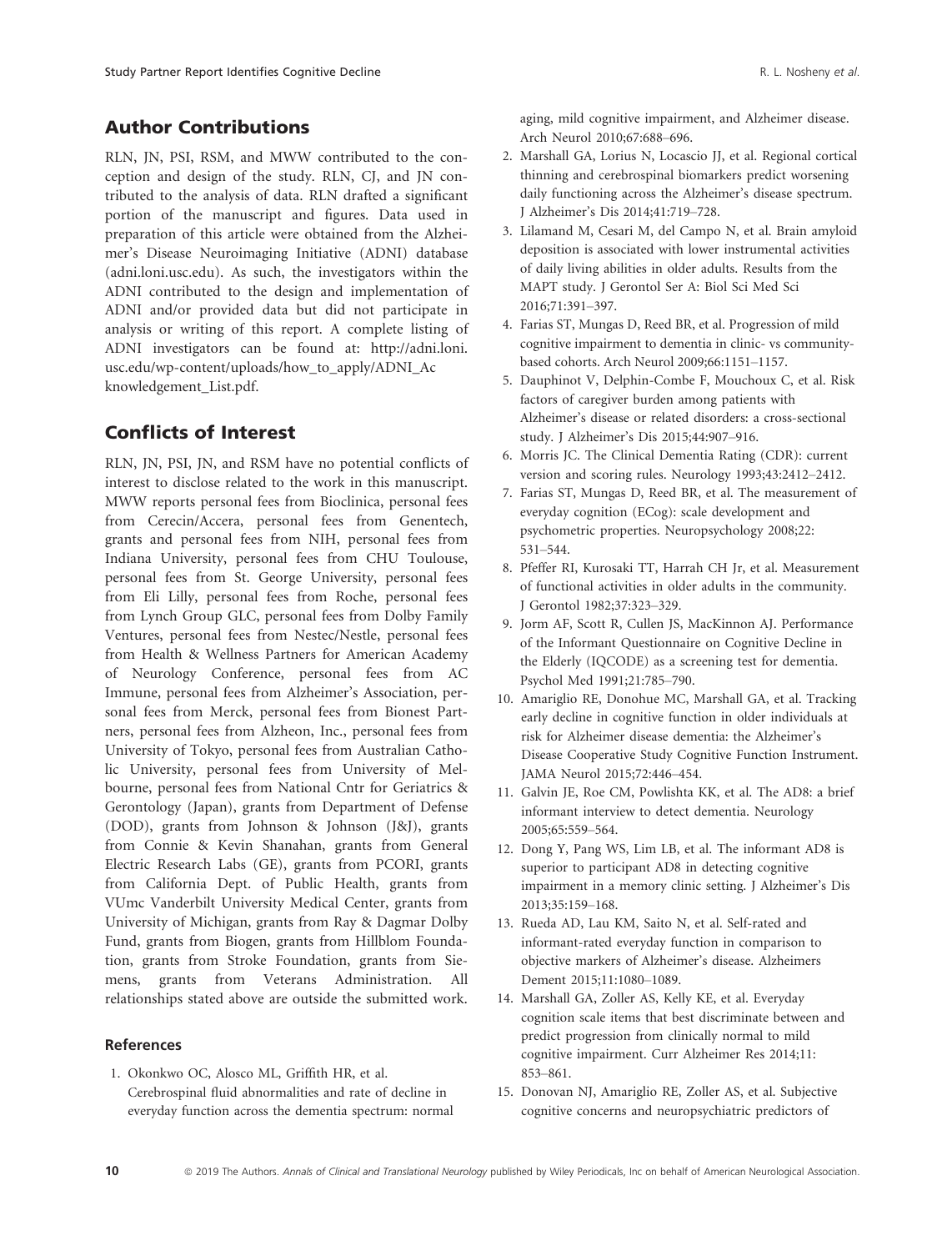# Author Contributions

RLN, JN, PSI, RSM, and MWW contributed to the conception and design of the study. RLN, CJ, and JN contributed to the analysis of data. RLN drafted a significant portion of the manuscript and figures. Data used in preparation of this article were obtained from the Alzheimer's Disease Neuroimaging Initiative (ADNI) database (adni.loni.usc.edu). As such, the investigators within the ADNI contributed to the design and implementation of ADNI and/or provided data but did not participate in analysis or writing of this report. A complete listing of ADNI investigators can be found at: [http://adni.loni.](http://adni.loni.usc.edu/wp-content/uploads/how_to_apply/ADNI_Acknowledgement_List.pdf) [usc.edu/wp-content/uploads/how\\_to\\_apply/ADNI\\_Ac](http://adni.loni.usc.edu/wp-content/uploads/how_to_apply/ADNI_Acknowledgement_List.pdf) [knowledgement\\_List.pdf.](http://adni.loni.usc.edu/wp-content/uploads/how_to_apply/ADNI_Acknowledgement_List.pdf)

# Conflicts of Interest

RLN, JN, PSI, JN, and RSM have no potential conflicts of interest to disclose related to the work in this manuscript. MWW reports personal fees from Bioclinica, personal fees from Cerecin/Accera, personal fees from Genentech, grants and personal fees from NIH, personal fees from Indiana University, personal fees from CHU Toulouse, personal fees from St. George University, personal fees from Eli Lilly, personal fees from Roche, personal fees from Lynch Group GLC, personal fees from Dolby Family Ventures, personal fees from Nestec/Nestle, personal fees from Health & Wellness Partners for American Academy of Neurology Conference, personal fees from AC Immune, personal fees from Alzheimer's Association, personal fees from Merck, personal fees from Bionest Partners, personal fees from Alzheon, Inc., personal fees from University of Tokyo, personal fees from Australian Catholic University, personal fees from University of Melbourne, personal fees from National Cntr for Geriatrics & Gerontology (Japan), grants from Department of Defense (DOD), grants from Johnson & Johnson (J&J), grants from Connie & Kevin Shanahan, grants from General Electric Research Labs (GE), grants from PCORI, grants from California Dept. of Public Health, grants from VUmc Vanderbilt University Medical Center, grants from University of Michigan, grants from Ray & Dagmar Dolby Fund, grants from Biogen, grants from Hillblom Foundation, grants from Stroke Foundation, grants from Siemens, grants from Veterans Administration. All relationships stated above are outside the submitted work.

#### References

1. Okonkwo OC, Alosco ML, Griffith HR, et al. Cerebrospinal fluid abnormalities and rate of decline in everyday function across the dementia spectrum: normal aging, mild cognitive impairment, and Alzheimer disease. Arch Neurol 2010;67:688–696.

- 2. Marshall GA, Lorius N, Locascio JJ, et al. Regional cortical thinning and cerebrospinal biomarkers predict worsening daily functioning across the Alzheimer's disease spectrum. J Alzheimer's Dis 2014;41:719–728.
- 3. Lilamand M, Cesari M, del Campo N, et al. Brain amyloid deposition is associated with lower instrumental activities of daily living abilities in older adults. Results from the MAPT study. J Gerontol Ser A: Biol Sci Med Sci 2016;71:391–397.
- 4. Farias ST, Mungas D, Reed BR, et al. Progression of mild cognitive impairment to dementia in clinic- vs communitybased cohorts. Arch Neurol 2009;66:1151–1157.
- 5. Dauphinot V, Delphin-Combe F, Mouchoux C, et al. Risk factors of caregiver burden among patients with Alzheimer's disease or related disorders: a cross-sectional study. J Alzheimer's Dis 2015;44:907–916.
- 6. Morris JC. The Clinical Dementia Rating (CDR): current version and scoring rules. Neurology 1993;43:2412–2412.
- 7. Farias ST, Mungas D, Reed BR, et al. The measurement of everyday cognition (ECog): scale development and psychometric properties. Neuropsychology 2008;22: 531–544.
- 8. Pfeffer RI, Kurosaki TT, Harrah CH Jr, et al. Measurement of functional activities in older adults in the community. J Gerontol 1982;37:323–329.
- 9. Jorm AF, Scott R, Cullen JS, MacKinnon AJ. Performance of the Informant Questionnaire on Cognitive Decline in the Elderly (IQCODE) as a screening test for dementia. Psychol Med 1991;21:785–790.
- 10. Amariglio RE, Donohue MC, Marshall GA, et al. Tracking early decline in cognitive function in older individuals at risk for Alzheimer disease dementia: the Alzheimer's Disease Cooperative Study Cognitive Function Instrument. JAMA Neurol 2015;72:446–454.
- 11. Galvin JE, Roe CM, Powlishta KK, et al. The AD8: a brief informant interview to detect dementia. Neurology 2005;65:559–564.
- 12. Dong Y, Pang WS, Lim LB, et al. The informant AD8 is superior to participant AD8 in detecting cognitive impairment in a memory clinic setting. J Alzheimer's Dis 2013;35:159–168.
- 13. Rueda AD, Lau KM, Saito N, et al. Self-rated and informant-rated everyday function in comparison to objective markers of Alzheimer's disease. Alzheimers Dement 2015;11:1080–1089.
- 14. Marshall GA, Zoller AS, Kelly KE, et al. Everyday cognition scale items that best discriminate between and predict progression from clinically normal to mild cognitive impairment. Curr Alzheimer Res 2014;11: 853–861.
- 15. Donovan NJ, Amariglio RE, Zoller AS, et al. Subjective cognitive concerns and neuropsychiatric predictors of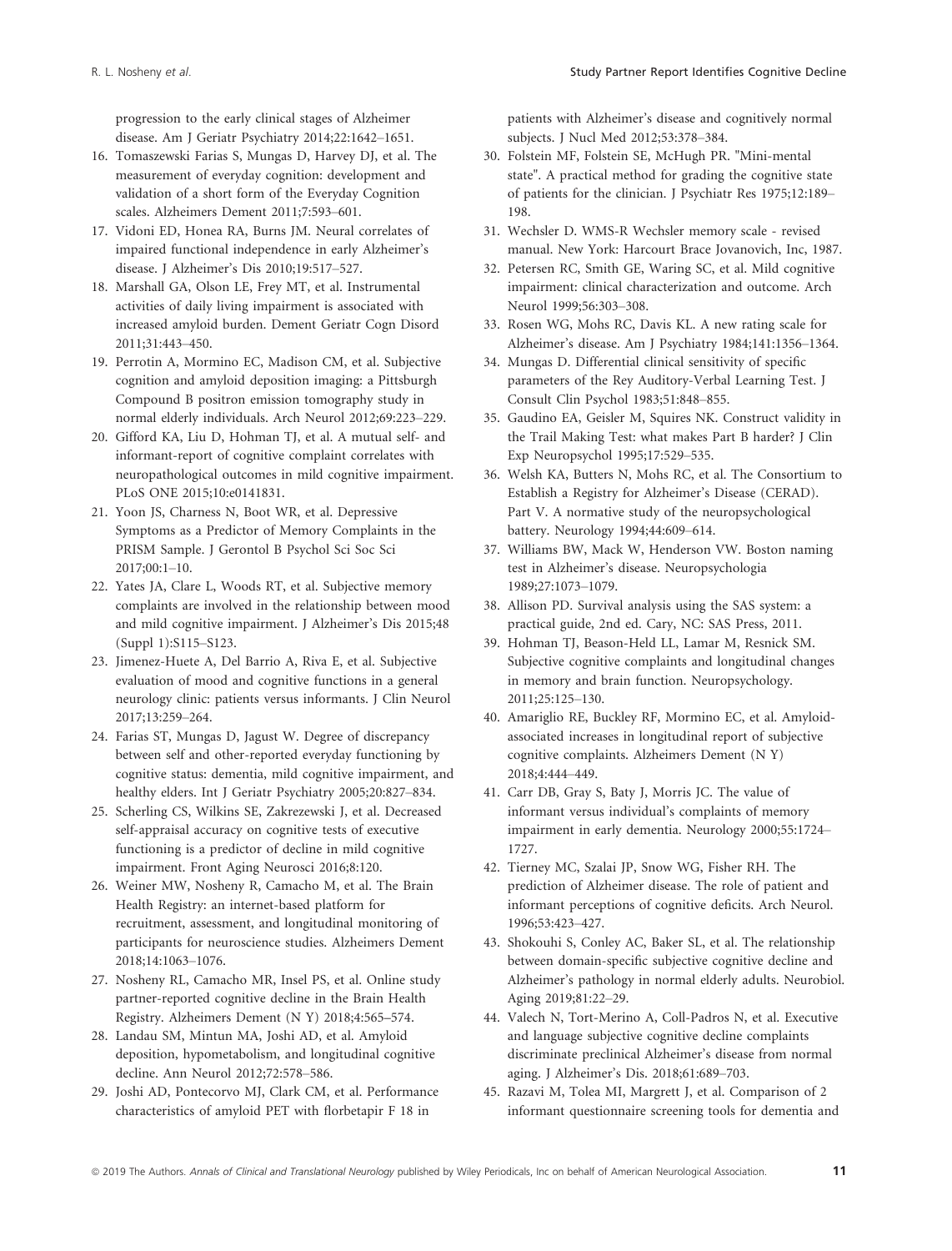progression to the early clinical stages of Alzheimer disease. Am J Geriatr Psychiatry 2014;22:1642–1651.

- 16. Tomaszewski Farias S, Mungas D, Harvey DJ, et al. The measurement of everyday cognition: development and validation of a short form of the Everyday Cognition scales. Alzheimers Dement 2011;7:593–601.
- 17. Vidoni ED, Honea RA, Burns JM. Neural correlates of impaired functional independence in early Alzheimer's disease. J Alzheimer's Dis 2010;19:517–527.
- 18. Marshall GA, Olson LE, Frey MT, et al. Instrumental activities of daily living impairment is associated with increased amyloid burden. Dement Geriatr Cogn Disord 2011;31:443–450.
- 19. Perrotin A, Mormino EC, Madison CM, et al. Subjective cognition and amyloid deposition imaging: a Pittsburgh Compound B positron emission tomography study in normal elderly individuals. Arch Neurol 2012;69:223–229.
- 20. Gifford KA, Liu D, Hohman TJ, et al. A mutual self- and informant-report of cognitive complaint correlates with neuropathological outcomes in mild cognitive impairment. PLoS ONE 2015;10:e0141831.
- 21. Yoon JS, Charness N, Boot WR, et al. Depressive Symptoms as a Predictor of Memory Complaints in the PRISM Sample. J Gerontol B Psychol Sci Soc Sci 2017;00:1–10.
- 22. Yates JA, Clare L, Woods RT, et al. Subjective memory complaints are involved in the relationship between mood and mild cognitive impairment. J Alzheimer's Dis 2015;48 (Suppl 1):S115–S123.
- 23. Jimenez-Huete A, Del Barrio A, Riva E, et al. Subjective evaluation of mood and cognitive functions in a general neurology clinic: patients versus informants. J Clin Neurol 2017;13:259–264.
- 24. Farias ST, Mungas D, Jagust W. Degree of discrepancy between self and other-reported everyday functioning by cognitive status: dementia, mild cognitive impairment, and healthy elders. Int J Geriatr Psychiatry 2005;20:827–834.
- 25. Scherling CS, Wilkins SE, Zakrezewski J, et al. Decreased self-appraisal accuracy on cognitive tests of executive functioning is a predictor of decline in mild cognitive impairment. Front Aging Neurosci 2016;8:120.
- 26. Weiner MW, Nosheny R, Camacho M, et al. The Brain Health Registry: an internet-based platform for recruitment, assessment, and longitudinal monitoring of participants for neuroscience studies. Alzheimers Dement 2018;14:1063–1076.
- 27. Nosheny RL, Camacho MR, Insel PS, et al. Online study partner-reported cognitive decline in the Brain Health Registry. Alzheimers Dement (N Y) 2018;4:565–574.
- 28. Landau SM, Mintun MA, Joshi AD, et al. Amyloid deposition, hypometabolism, and longitudinal cognitive decline. Ann Neurol 2012;72:578–586.
- 29. Joshi AD, Pontecorvo MJ, Clark CM, et al. Performance characteristics of amyloid PET with florbetapir F 18 in

patients with Alzheimer's disease and cognitively normal subjects. J Nucl Med 2012;53:378–384.

- 30. Folstein MF, Folstein SE, McHugh PR. "Mini-mental state". A practical method for grading the cognitive state of patients for the clinician. J Psychiatr Res 1975;12:189– 198.
- 31. Wechsler D. WMS-R Wechsler memory scale revised manual. New York: Harcourt Brace Jovanovich, Inc, 1987.
- 32. Petersen RC, Smith GE, Waring SC, et al. Mild cognitive impairment: clinical characterization and outcome. Arch Neurol 1999;56:303–308.
- 33. Rosen WG, Mohs RC, Davis KL. A new rating scale for Alzheimer's disease. Am J Psychiatry 1984;141:1356–1364.
- 34. Mungas D. Differential clinical sensitivity of specific parameters of the Rey Auditory-Verbal Learning Test. J Consult Clin Psychol 1983;51:848–855.
- 35. Gaudino EA, Geisler M, Squires NK. Construct validity in the Trail Making Test: what makes Part B harder? J Clin Exp Neuropsychol 1995;17:529–535.
- 36. Welsh KA, Butters N, Mohs RC, et al. The Consortium to Establish a Registry for Alzheimer's Disease (CERAD). Part V. A normative study of the neuropsychological battery. Neurology 1994;44:609–614.
- 37. Williams BW, Mack W, Henderson VW. Boston naming test in Alzheimer's disease. Neuropsychologia 1989;27:1073–1079.
- 38. Allison PD. Survival analysis using the SAS system: a practical guide, 2nd ed. Cary, NC: SAS Press, 2011.
- 39. Hohman TJ, Beason-Held LL, Lamar M, Resnick SM. Subjective cognitive complaints and longitudinal changes in memory and brain function. Neuropsychology. 2011;25:125–130.
- 40. Amariglio RE, Buckley RF, Mormino EC, et al. Amyloidassociated increases in longitudinal report of subjective cognitive complaints. Alzheimers Dement (N Y) 2018;4:444–449.
- 41. Carr DB, Gray S, Baty J, Morris JC. The value of informant versus individual's complaints of memory impairment in early dementia. Neurology 2000;55:1724– 1727.
- 42. Tierney MC, Szalai JP, Snow WG, Fisher RH. The prediction of Alzheimer disease. The role of patient and informant perceptions of cognitive deficits. Arch Neurol. 1996;53:423–427.
- 43. Shokouhi S, Conley AC, Baker SL, et al. The relationship between domain-specific subjective cognitive decline and Alzheimer's pathology in normal elderly adults. Neurobiol. Aging 2019;81:22–29.
- 44. Valech N, Tort-Merino A, Coll-Padros N, et al. Executive and language subjective cognitive decline complaints discriminate preclinical Alzheimer's disease from normal aging. J Alzheimer's Dis. 2018;61:689–703.
- 45. Razavi M, Tolea MI, Margrett J, et al. Comparison of 2 informant questionnaire screening tools for dementia and